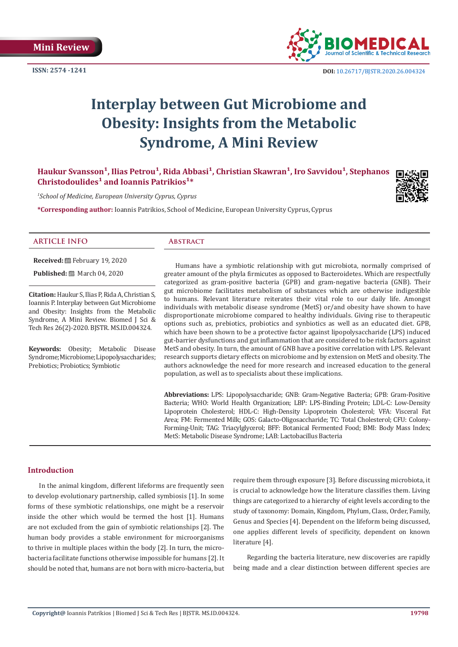**ISSN: 2574 -1241**



 **DOI:** [10.26717/BJSTR.2020.26.004324](http://dx.doi.org/10.26717/BJSTR.2020.26.004324)

# **Interplay between Gut Microbiome and Obesity: Insights from the Metabolic Syndrome, A Mini Review**

Haukur Svansson<sup>1</sup>, Ilias Petrou<sup>1</sup>, Rida Abbasi<sup>1</sup>, Christian Skawran<sup>1</sup>, Iro Savvidou<sup>1</sup>, Stephanos Christodoulides<sup>1</sup> and Ioannis Patrikios<sup>1\*</sup>

*1 School of Medicine, European University Cyprus, Cyprus*

**\*Corresponding author:** Ioannis Patrikios, School of Medicine, European University Cyprus, Cyprus



## **ARTICLE INFO Abstract**

**Received:** February 19, 2020

**Published:** ■ March 04, 2020

**Citation:** Haukur S, Ilias P, Rida A, Christian S, Ioannis P. Interplay between Gut Microbiome and Obesity: Insights from the Metabolic Syndrome, A Mini Review. Biomed J Sci & Tech Res 26(2)-2020. BJSTR. MS.ID.004324.

**Keywords:** Obesity; Metabolic Disease Syndrome; Microbiome; Lipopolysaccharides; Prebiotics; Probiotics; Symbiotic

Humans have a symbiotic relationship with gut microbiota, normally comprised of greater amount of the phyla firmicutes as opposed to Bacteroidetes. Which are respectfully categorized as gram-positive bacteria (GPB) and gram-negative bacteria (GNB). Their gut microbiome facilitates metabolism of substances which are otherwise indigestible to humans. Relevant literature reiterates their vital role to our daily life. Amongst individuals with metabolic disease syndrome (MetS) or/and obesity have shown to have disproportionate microbiome compared to healthy individuals. Giving rise to therapeutic options such as, prebiotics, probiotics and synbiotics as well as an educated diet. GPB, which have been shown to be a protective factor against lipopolysaccharide (LPS) induced gut-barrier dysfunctions and gut inflammation that are considered to be risk factors against MetS and obesity. In turn, the amount of GNB have a positive correlation with LPS. Relevant research supports dietary effects on microbiome and by extension on MetS and obesity. The authors acknowledge the need for more research and increased education to the general population, as well as to specialists about these implications.

**Abbreviations:** LPS: Lipopolysaccharide; GNB: Gram-Negative Bacteria; GPB: Gram-Positive Bacteria; WHO: World Health Organization; LBP: LPS-Binding Protein; LDL-C: Low-Density Lipoprotein Cholesterol; HDL-C: High-Density Lipoprotein Cholesterol; VFA: Visceral Fat Area; FM: Fermented Milk; GOS: Galacto-Oligosaccharide; TC: Total Cholesterol; CFU: Colony-Forming-Unit; TAG: Triacylglycerol; BFF: Botanical Fermented Food; BMI: Body Mass Index; MetS: Metabolic Disease Syndrome; LAB: Lactobacillus Bacteria

# **Introduction**

In the animal kingdom, different lifeforms are frequently seen to develop evolutionary partnership, called symbiosis [1]. In some forms of these symbiotic relationships, one might be a reservoir inside the other which would be termed the host [1]. Humans are not excluded from the gain of symbiotic relationships [2]. The human body provides a stable environment for microorganisms to thrive in multiple places within the body [2]. In turn, the microbacteria facilitate functions otherwise impossible for humans [2]. It should be noted that, humans are not born with micro-bacteria, but require them through exposure [3]. Before discussing microbiota, it is crucial to acknowledge how the literature classifies them. Living things are categorized to a hierarchy of eight levels according to the study of taxonomy: Domain, Kingdom, Phylum, Class, Order, Family, Genus and Species [4]. Dependent on the lifeform being discussed, one applies different levels of specificity, dependent on known literature [4].

 Regarding the bacteria literature, new discoveries are rapidly being made and a clear distinction between different species are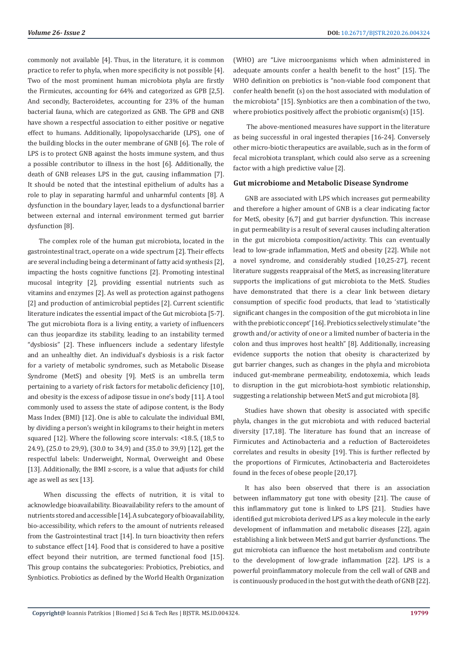commonly not available [4]. Thus, in the literature, it is common practice to refer to phyla, when more specificity is not possible [4]. Two of the most prominent human microbiota phyla are firstly the Firmicutes, accounting for 64% and categorized as GPB [2,5]. And secondly, Bacteroidetes, accounting for 23% of the human bacterial fauna, which are categorized as GNB. The GPB and GNB have shown a respectful association to either positive or negative effect to humans. Additionally, lipopolysaccharide (LPS), one of the building blocks in the outer membrane of GNB [6]. The role of LPS is to protect GNB against the hosts immune system, and thus a possible contributor to illness in the host [6]. Additionally, the death of GNB releases LPS in the gut, causing inflammation [7]. It should be noted that the intestinal epithelium of adults has a role to play in separating harmful and unharmful contents [8]. A dysfunction in the boundary layer, leads to a dysfunctional barrier between external and internal environment termed gut barrier dysfunction [8].

The complex role of the human gut microbiota, located in the gastrointestinal tract, operate on a wide spectrum [2]. Their effects are several including being a determinant of fatty acid synthesis [2], impacting the hosts cognitive functions [2]. Promoting intestinal mucosal integrity [2], providing essential nutrients such as vitamins and enzymes [2]. As well as protection against pathogens [2] and production of antimicrobial peptides [2]. Current scientific literature indicates the essential impact of the Gut microbiota [5-7]. The gut microbiota flora is a living entity, a variety of influencers can thus jeopardize its stability, leading to an instability termed "dysbiosis" [2]. These influencers include a sedentary lifestyle and an unhealthy diet. An individual's dysbiosis is a risk factor for a variety of metabolic syndromes, such as Metabolic Disease Syndrome (MetS) and obesity [9]. MetS is an umbrella term pertaining to a variety of risk factors for metabolic deficiency [10], and obesity is the excess of adipose tissue in one's body [11]. A tool commonly used to assess the state of adipose content, is the Body Mass Index (BMI) [12]. One is able to calculate the individual BMI, by dividing a person's weight in kilograms to their height in meters squared [12]. Where the following score intervals: <18.5, (18,5 to 24.9), (25.0 to 29,9), (30.0 to 34,9) and (35.0 to 39,9) [12], get the respectful labels: Underweight, Normal, Overweight and Obese [13]. Additionally, the BMI z-score, is a value that adjusts for child age as well as sex [13].

 When discussing the effects of nutrition, it is vital to acknowledge bioavailability. Bioavailability refers to the amount of nutrients stored and accessible [14]. A subcategory of bioavailability, bio-accessibility, which refers to the amount of nutrients released from the Gastrointestinal tract [14]. In turn bioactivity then refers to substance effect [14]. Food that is considered to have a positive effect beyond their nutrition, are termed functional food [15]. This group contains the subcategories: Probiotics, Prebiotics, and Synbiotics. Probiotics as defined by the World Health Organization

(WHO) are "Live microorganisms which when administered in adequate amounts confer a health benefit to the host" [15]. The WHO definition on prebiotics is "non-viable food component that confer health benefit (s) on the host associated with modulation of the microbiota" [15]. Synbiotics are then a combination of the two, where probiotics positively affect the probiotic organism(s) [15].

 The above-mentioned measures have support in the literature as being successful in oral ingested therapies [16-24]. Conversely other micro-biotic therapeutics are available, such as in the form of fecal microbiota transplant, which could also serve as a screening factor with a high predictive value [2].

## **Gut microbiome and Metabolic Disease Syndrome**

GNB are associated with LPS which increases gut permeability and therefore a higher amount of GNB is a clear indicating factor for MetS, obesity [6,7] and gut barrier dysfunction. This increase in gut permeability is a result of several causes including alteration in the gut microbiota composition/activity. This can eventually lead to low-grade inflammation, MetS and obesity [22]. While not a novel syndrome, and considerably studied [10,25-27], recent literature suggests reappraisal of the MetS, as increasing literature supports the implications of gut microbiota to the MetS. Studies have demonstrated that there is a clear link between dietary consumption of specific food products, that lead to 'statistically significant changes in the composition of the gut microbiota in line with the prebiotic concept' [16]. Prebiotics selectively stimulate "the growth and/or activity of one or a limited number of bacteria in the colon and thus improves host health" [8]. Additionally, increasing evidence supports the notion that obesity is characterized by gut barrier changes, such as changes in the phyla and microbiota induced gut-membrane permeability, endotoxemia, which leads to disruption in the gut microbiota-host symbiotic relationship, suggesting a relationship between MetS and gut microbiota [8].

Studies have shown that obesity is associated with specific phyla, changes in the gut microbiota and with reduced bacterial diversity [17,18]. The literature has found that an increase of Firmicutes and Actinobacteria and a reduction of Bacteroidetes correlates and results in obesity [19]. This is further reflected by the proportions of Firmicutes, Actinobacteria and Bacteroidetes found in the feces of obese people [20,17].

It has also been observed that there is an association between inflammatory gut tone with obesity [21]. The cause of this inflammatory gut tone is linked to LPS [21]. Studies have identified gut microbiota derived LPS as a key molecule in the early development of inflammation and metabolic diseases [22], again establishing a link between MetS and gut barrier dysfunctions. The gut microbiota can influence the host metabolism and contribute to the development of low-grade inflammation [22]. LPS is a powerful proinflammatory molecule from the cell wall of GNB and is continuously produced in the host gut with the death of GNB [22].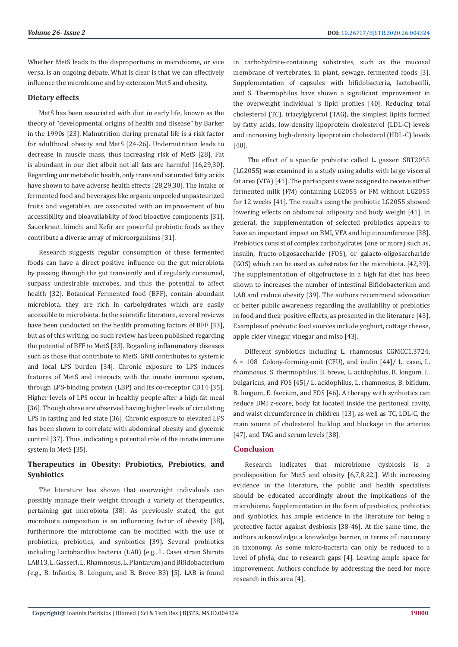Whether MetS leads to the disproportions in microbiome, or vice versa, is an ongoing debate. What is clear is that we can effectively influence the microbiome and by extension MetS and obesity.

# **Dietary effects**

MetS has been associated with diet in early life, known as the theory of "developmental origins of health and disease" by Barker in the 1990s [23]. Malnutrition during prenatal life is a risk factor for adulthood obesity and MetS [24-26]. Undernutrition leads to decrease in muscle mass, thus increasing risk of MetS [28]. Fat is abundant in our diet albeit not all fats are harmful [16,29,30]. Regarding our metabolic health, only trans and saturated fatty acids have shown to have adverse health effects [28,29,30]. The intake of fermented food and beverages like organic unpeeled unpasteurized fruits and vegetables, are associated with an improvement of bio accessibility and bioavailability of food bioactive components [31]. Sauerkraut, kimchi and Kefir are powerful probiotic foods as they contribute a diverse array of microorganisms [31].

Research suggests regular consumption of these fermented foods can have a direct positive influence on the gut microbiota by passing through the gut transiently and if regularly consumed, surpass undesirable microbes, and thus the potential to affect health [32]. Botanical Fermented food (BFF), contain abundant microbiota, they are rich in carbohydrates which are easily accessible to microbiota. In the scientific literature, several reviews have been conducted on the health promoting factors of BFF [33], but as of this writing, no such review has been published regarding the potential of BFF to MetS [33]. Regarding inflammatory diseases such as those that contribute to MetS, GNB contributes to systemic and local LPS burden [34]. Chronic exposure to LPS induces features of MetS and interacts with the innate immune system, through LPS-binding protein (LBP) and its co-receptor CD14 [35]. Higher levels of LPS occur in healthy people after a high fat meal [36]. Though obese are observed having higher levels of circulating LPS in fasting and fed state [36]. Chronic exposure to elevated LPS has been shown to correlate with abdominal obesity and glycemic control [37]. Thus, indicating a potential role of the innate immune system in MetS [35].

# **Therapeutics in Obesity: Probiotics, Prebiotics, and Synbiotics**

The literature has shown that overweight individuals can possibly manage their weight through a variety of therapeutics, pertaining gut microbiota [38]. As previously stated, the gut microbiota composition is an influencing factor of obesity [38], furthermore the microbiome can be modified with the use of probiotics, prebiotics, and synbiotics [39]. Several probiotics including Lactobacillus bacteria (LAB) (e.g., L. Casei strain Shirota LAB13, L. Gasseri, L. Rhamnosus, L. Plantarum) and Bifidobacterium (e.g., B. Infantis, B. Longum, and B. Breve B3) [5]. LAB is found

in carbohydrate-containing substrates, such as the mucosal membrane of vertebrates, in plant, sewage, fermented foods [3]. Supplementation of capsules with bifidobacteria, lactobacilli, and S. Thermophilus have shown a significant improvement in the overweight individual 's lipid profiles [40]. Reducing total cholesterol (TC), triacylglycerol (TAG), the simplest lipids formed by fatty acids, low-density lipoprotein cholesterol (LDL-C) levels and increasing high-density lipoprotein cholesterol (HDL-C) levels [40].

 The effect of a specific probiotic called L. gasseri SBT2055 (LG2055) was examined in a study using adults with large visceral fat area (VFA) [41]. The participants were assigned to receive either fermented milk (FM) containing LG2055 or FM without LG2055 for 12 weeks [41]. The results using the probiotic LG2055 showed lowering effects on abdominal adiposity and body weight [41]. In general, the supplementation of selected probiotics appears to have an important impact on BMI, VFA and hip circumference [38]. Prebiotics consist of complex carbohydrates (one or more) such as, insulin, fructo-oligosaccharide (FOS), or galacto-oligosaccharide (GOS) which can be used as substrates for the microbiota. [42,39]. The supplementation of oligofructose in a high fat diet has been shown to increases the number of intestinal Bifidobacterium and LAB and reduce obesity [39]. The authors recommend advocation of better public awareness regarding the availability of prebiotics in food and their positive effects, as presented in the literature [43]. Examples of prebiotic food sources include yoghurt, cottage cheese, apple cider vinegar, vinegar and miso [43].

Different synbiotics including L. rhamnosus CGMCC1.3724,  $6 \times 108$  Colony-forming-unit (CFU), and inulin [44]/ L. casei, L. rhamnosus, S. thermophilus, B. breve, L. acidophilus, B. longum, L. bulgaricus, and FOS [45]/ L. acidophilus, L. rhamnosus, B. bifidum, B. longum, E. faecium, and FOS [46]. A therapy with synbiotics can reduce BMI z-score, body fat located inside the peritoneal cavity, and waist circumference in children [13], as well as TC, LDL-C, the main source of cholesterol buildup and blockage in the arteries [47], and TAG and serum levels [38].

# **Conclusion**

Research indicates that microbiome dysbiosis is a predisposition for MetS and obesity [6,7,8,22,]. With increasing evidence in the literature, the public and health specialists should be educated accordingly about the implications of the microbiome. Supplementation in the form of probiotics, prebiotics and synbiotics, has ample evidence in the literature for being a protective factor against dysbiosis [38-46]. At the same time, the authors acknowledge a knowledge barrier, in terms of inaccuracy in taxonomy. As some micro-bacteria can only be reduced to a level of phyla, due to research gaps [4]. Leaving ample space for improvement. Authors conclude by addressing the need for more research in this area [4].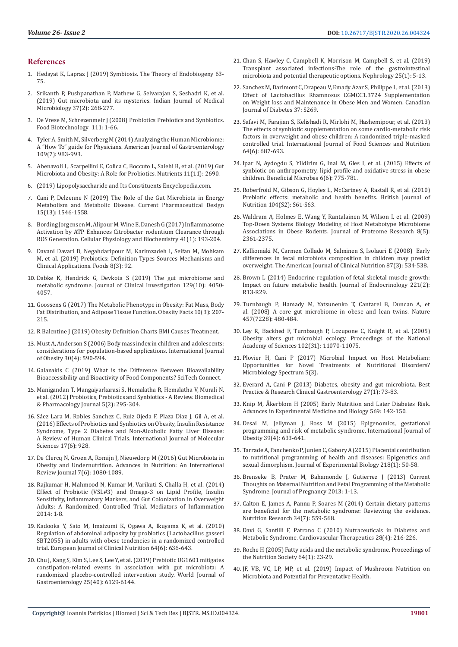#### **References**

- 1. Hedayat K, Lapraz J (2019) Symbiosis. The Theory of Endobiogeny 63- 75.
- 2. [Srikanth P, Pushpanathan P, Mathew G, Selvarajan S, Seshadri K, et al.](https://www.ncbi.nlm.nih.gov/pubmed/31745030)  [\(2019\) Gut microbiota and its mysteries. Indian Journal of Medical](https://www.ncbi.nlm.nih.gov/pubmed/31745030)  [Microbiology 37\(2\): 268-277.](https://www.ncbi.nlm.nih.gov/pubmed/31745030)
- 3. [De Vrese M, Schrezenmeir J \(2008\) Probiotics Prebiotics and Synbiotics.](https://www.ncbi.nlm.nih.gov/pubmed/18461293)  [Food Biotechnology 111: 1-66.](https://www.ncbi.nlm.nih.gov/pubmed/18461293)
- 4. [Tyler A, Smith M, Silverberg M \(2014\) Analyzing the Human Microbiome:](https://www.ncbi.nlm.nih.gov/pubmed/24751579)  [A "How To" guide for Physicians. American Journal of Gastroenterology](https://www.ncbi.nlm.nih.gov/pubmed/24751579)  [109\(7\): 983-993.](https://www.ncbi.nlm.nih.gov/pubmed/24751579)
- 5. [Abenavoli L, Scarpellini E, Colica C, Boccuto L, Salehi B, et al. \(2019\) Gut](https://www.ncbi.nlm.nih.gov/pubmed/31703257)  [Microbiota and Obesity: A Role for Probiotics. Nutrients 11\(11\): 2690.](https://www.ncbi.nlm.nih.gov/pubmed/31703257)
- 6. (2019) Lipopolysaccharide and Its Constituents Encyclopedia.com.
- 7. [Cani P, Delzenne N \(2009\) The Role of the Gut Microbiota in Energy](https://www.ncbi.nlm.nih.gov/pubmed/19442172)  [Metabolism and Metabolic Disease. Current Pharmaceutical Design](https://www.ncbi.nlm.nih.gov/pubmed/19442172)  [15\(13\): 1546-1558.](https://www.ncbi.nlm.nih.gov/pubmed/19442172)
- 8. [Bording Jorgensen M, Alipour M, Wine E, Danesh G \(2017\) Inflammasome](https://www.ncbi.nlm.nih.gov/pubmed/28132060)  [Activation by ATP Enhances Citrobacter rodentium Clearance through](https://www.ncbi.nlm.nih.gov/pubmed/28132060)  [ROS Generation. Cellular Physiology and Biochemistry 41\(1\): 193-204.](https://www.ncbi.nlm.nih.gov/pubmed/28132060)
- 9. [Davani Davari D, Negahdaripour M, Karimzadeh I, Seifan M, Mohkam](https://www.ncbi.nlm.nih.gov/pmc/articles/PMC6463098/)  [M, et al. \(2019\) Prebiotics: Definition Types Sources Mechanisms and](https://www.ncbi.nlm.nih.gov/pmc/articles/PMC6463098/)  [Clinical Applications. Foods 8\(3\): 92.](https://www.ncbi.nlm.nih.gov/pmc/articles/PMC6463098/)
- 10. [Dabke K, Hendrick G, Devkota S \(2019\) The gut microbiome and](https://www.ncbi.nlm.nih.gov/pubmed/31573550)  [metabolic syndrome. Journal of Clinical Investigation 129\(10\): 4050-](https://www.ncbi.nlm.nih.gov/pubmed/31573550) [4057.](https://www.ncbi.nlm.nih.gov/pubmed/31573550)
- 11. Goossens G (2017) The Metabolic Phenotype in Obesity: Fat Mass, Body Fat Distribution, and Adipose Tissue Function. Obesity Facts 10(3): 207- 215.
- 12. R Balentine J (2019) Obesity Definition Charts BMI Causes Treatment.
- 13. [Must A, Anderson S \(2006\) Body mass index in children and adolescents:](https://www.ncbi.nlm.nih.gov/pubmed/16570087)  [considerations for population-based applications. International Journal](https://www.ncbi.nlm.nih.gov/pubmed/16570087)  [of Obesity 30\(4\): 590-594.](https://www.ncbi.nlm.nih.gov/pubmed/16570087)
- 14. Galanakis C (2019) What is the Difference Between Bioavailability Bioaccessibility and Bioactivity of Food Components? SciTech Connect.
- 15. [Manigandan T, Mangaiyarkarasi S, Hemalatha R, Hemalatha V, Murali N,](https://www.ncbi.nlm.nih.gov/pubmed/26604335)  [et al. \(2012\) Probiotics, Prebiotics and Synbiotics - A Review. Biomedical](https://www.ncbi.nlm.nih.gov/pubmed/26604335)  [& Pharmacology Journal 5\(2\): 295-304.](https://www.ncbi.nlm.nih.gov/pubmed/26604335)
- 16. [Sáez Lara M, Robles Sanchez C, Ruiz Ojeda F, Plaza Diaz J, Gil A, et al.](https://www.ncbi.nlm.nih.gov/pubmed/27304953)  [\(2016\) Effects of Probiotics and Synbiotics on Obesity, Insulin Resistance](https://www.ncbi.nlm.nih.gov/pubmed/27304953)  [Syndrome, Type 2 Diabetes and Non-Alcoholic Fatty Liver Disease:](https://www.ncbi.nlm.nih.gov/pubmed/27304953)  [A Review of Human Clinical Trials. International Journal of Molecular](https://www.ncbi.nlm.nih.gov/pubmed/27304953)  [Sciences 17\(6\): 928.](https://www.ncbi.nlm.nih.gov/pubmed/27304953)
- 17. [De Clercq N, Groen A, Romijn J, Nieuwdorp M \(2016\) Gut Microbiota in](https://www.ncbi.nlm.nih.gov/pmc/articles/PMC5105041/)  [Obesity and Undernutrition. Advances in Nutrition: An International](https://www.ncbi.nlm.nih.gov/pmc/articles/PMC5105041/)  [Review Journal 7\(6\): 1080-1089.](https://www.ncbi.nlm.nih.gov/pmc/articles/PMC5105041/)
- 18. [Rajkumar H, Mahmood N, Kumar M, Varikuti S, Challa H, et al. \(2014\)](https://www.ncbi.nlm.nih.gov/pubmed/24795503)  [Effect of Probiotic \(VSL#3\) and Omega-3 on Lipid Profile, Insulin](https://www.ncbi.nlm.nih.gov/pubmed/24795503)  [Sensitivity, Inflammatory Markers, and Gut Colonization in Overweight](https://www.ncbi.nlm.nih.gov/pubmed/24795503)  [Adults: A Randomized, Controlled Trial. Mediators of Inflammation](https://www.ncbi.nlm.nih.gov/pubmed/24795503)   $2014 \cdot 1 - 8$
- 19. [Kadooka Y, Sato M, Imaizumi K, Ogawa A, Ikuyama K, et al. \(2010\)](https://www.ncbi.nlm.nih.gov/pubmed/20216555)  [Regulation of abdominal adiposity by probiotics \(Lactobacillus gasseri](https://www.ncbi.nlm.nih.gov/pubmed/20216555)  [SBT2055\) in adults with obese tendencies in a randomized controlled](https://www.ncbi.nlm.nih.gov/pubmed/20216555)  [trial. European Journal of Clinical Nutrition 64\(6\): 636-643.](https://www.ncbi.nlm.nih.gov/pubmed/20216555)
- 20. [Chu J, Kang S, Kim S, Lee S, Lee Y, et al. \(2019\) Prebiotic UG1601 mitigates](https://www.ncbi.nlm.nih.gov/pubmed/31686768)  [constipation-related events in association with gut microbiota: A](https://www.ncbi.nlm.nih.gov/pubmed/31686768)  [randomized placebo-controlled intervention study. World Journal of](https://www.ncbi.nlm.nih.gov/pubmed/31686768)  [Gastroenterology 25\(40\): 6129-6144.](https://www.ncbi.nlm.nih.gov/pubmed/31686768)
- 21. [Chan S, Hawley C, Campbell K, Morrison M, Campbell S, et al. \(2019\)](https://www.ncbi.nlm.nih.gov/pubmed/31587409) [Transplant associated infections-The role of the gastrointestinal](https://www.ncbi.nlm.nih.gov/pubmed/31587409) [microbiota and potential therapeutic options. Nephrology 25\(1\): 5-13.](https://www.ncbi.nlm.nih.gov/pubmed/31587409)
- 22. [Sanchez M, Darimont C, Drapeau V, Emady Azar S, Philippe L, et al. \(2013\)](https://www.canadianjournalofdiabetes.com/article/S1499-2671(13)00449-8/fulltext) [Effect of Lactobacillus Rhamnosus CGMCC1.3724 Supplementation](https://www.canadianjournalofdiabetes.com/article/S1499-2671(13)00449-8/fulltext) [on Weight loss and Maintenance in Obese Men and Women. Canadian](https://www.canadianjournalofdiabetes.com/article/S1499-2671(13)00449-8/fulltext) [Journal of Diabetes 37: S269.](https://www.canadianjournalofdiabetes.com/article/S1499-2671(13)00449-8/fulltext)
- 23. [Safavi M, Farajian S, Kelishadi R, Mirlohi M, Hashemipour, et al. \(2013\)](https://www.ncbi.nlm.nih.gov/pubmed/23477506) [The effects of synbiotic supplementation on some cardio-metabolic risk](https://www.ncbi.nlm.nih.gov/pubmed/23477506) [factors in overweight and obese children: A randomized triple-masked](https://www.ncbi.nlm.nih.gov/pubmed/23477506) [controlled trial. International Journal of Food Sciences and Nutrition](https://www.ncbi.nlm.nih.gov/pubmed/23477506) [64\(6\): 687-693.](https://www.ncbi.nlm.nih.gov/pubmed/23477506)
- 24. [Ipar N, Aydogdu S, Yildirim G, Inal M, Gies I, et al. \(2015\) Effects of](https://www.ncbi.nlm.nih.gov/pubmed/26259892) [synbiotic on anthropometry, lipid profile and oxidative stress in obese](https://www.ncbi.nlm.nih.gov/pubmed/26259892) [children. Beneficial Microbes 6\(6\): 775-781.](https://www.ncbi.nlm.nih.gov/pubmed/26259892)
- 25. [Roberfroid M, Gibson G, Hoyles L, McCartney A, Rastall R, et al. \(2010\)](https://www.ncbi.nlm.nih.gov/pubmed/20920376) [Prebiotic effects: metabolic and health benefits. British Journal of](https://www.ncbi.nlm.nih.gov/pubmed/20920376) [Nutrition 104\(S2\): S61-S63.](https://www.ncbi.nlm.nih.gov/pubmed/20920376)
- 26. [Waldram A, Holmes E, Wang Y, Rantalainen M, Wilson I, et al. \(2009\)](https://www.ncbi.nlm.nih.gov/pubmed/19275195) [Top-Down Systems Biology Modeling of Host Metabotype Microbiome](https://www.ncbi.nlm.nih.gov/pubmed/19275195) [Associations in Obese Rodents. Journal of Proteome Research 8\(5\):](https://www.ncbi.nlm.nih.gov/pubmed/19275195) [2361-2375.](https://www.ncbi.nlm.nih.gov/pubmed/19275195)
- 27. [Kalliomäki M, Carmen Collado M, Salminen S, Isolauri E \(2008\) Early](https://www.ncbi.nlm.nih.gov/pubmed/18326589) [differences in fecal microbiota composition in children may predict](https://www.ncbi.nlm.nih.gov/pubmed/18326589) [overweight. The American Journal of Clinical Nutrition 87\(3\): 534-538.](https://www.ncbi.nlm.nih.gov/pubmed/18326589)
- 28. [Brown L \(2014\) Endocrine regulation of fetal skeletal muscle growth:](https://www.ncbi.nlm.nih.gov/pubmed/24532817) [Impact on future metabolic health. Journal of Endocrinology 221\(2\):](https://www.ncbi.nlm.nih.gov/pubmed/24532817) [R13-R29.](https://www.ncbi.nlm.nih.gov/pubmed/24532817)
- 29. [Turnbaugh P, Hamady M, Yatsunenko T, Cantarel B, Duncan A, et](https://www.ncbi.nlm.nih.gov/pubmed/19043404) [al. \(2008\) A core gut microbiome in obese and lean twins. Nature](https://www.ncbi.nlm.nih.gov/pubmed/19043404) [457\(7228\): 480-484.](https://www.ncbi.nlm.nih.gov/pubmed/19043404)
- 30. [Ley R, Backhed F, Turnbaugh P, Lozupone C, Knight R, et al. \(2005\)](https://www.ncbi.nlm.nih.gov/pubmed/16033867) [Obesity alters gut microbial ecology. Proceedings of the National](https://www.ncbi.nlm.nih.gov/pubmed/16033867) [Academy of Sciences 102\(31\): 11070-11075.](https://www.ncbi.nlm.nih.gov/pubmed/16033867)
- 31. [Plovier H, Cani P \(2017\) Microbial Impact on Host Metabolism:](https://www.ncbi.nlm.nih.gov/pubmed/28597812) [Opportunities for Novel Treatments of Nutritional Disorders?](https://www.ncbi.nlm.nih.gov/pubmed/28597812) [Microbiology Spectrum 5\(3\).](https://www.ncbi.nlm.nih.gov/pubmed/28597812)
- 32. [Everard A, Cani P \(2013\) Diabetes, obesity and gut microbiota. Best](https://www.ncbi.nlm.nih.gov/pubmed/23768554) [Practice & Research Clinical Gastroenterology 27\(1\): 73-83.](https://www.ncbi.nlm.nih.gov/pubmed/23768554)
- 33. [Knip M, Åkerblom H \(2005\) Early Nutrition and Later Diabetes Risk.](https://www.ncbi.nlm.nih.gov/pubmed/16137119) [Advances in Experimental Medicine and Biology 569: 142-150.](https://www.ncbi.nlm.nih.gov/pubmed/16137119)
- 34. [Desai M, Jellyman J, Ross M \(2015\) Epigenomics, gestational](https://www.ncbi.nlm.nih.gov/pubmed/25640766) [programming and risk of metabolic syndrome. International Journal of](https://www.ncbi.nlm.nih.gov/pubmed/25640766) [Obesity 39\(4\): 633-641.](https://www.ncbi.nlm.nih.gov/pubmed/25640766)
- 35. [Tarrade A, Panchenko P, Junien C, Gabory A \(2015\) Placental contribution](https://www.ncbi.nlm.nih.gov/pubmed/25568451) [to nutritional programming of health and diseases: Epigenetics and](https://www.ncbi.nlm.nih.gov/pubmed/25568451) [sexual dimorphism. Journal of Experimental Biology 218\(1\): 50-58.](https://www.ncbi.nlm.nih.gov/pubmed/25568451)
- 36. [Brenseke B, Prater M, Bahamonde J, Gutierrez J \(2013\) Current](https://www.ncbi.nlm.nih.gov/pubmed/23476780) [Thoughts on Maternal Nutrition and Fetal Programming of the Metabolic](https://www.ncbi.nlm.nih.gov/pubmed/23476780) [Syndrome. Journal of Pregnancy 2013: 1-13.](https://www.ncbi.nlm.nih.gov/pubmed/23476780)
- 37. [Calton E, James A, Pannu P, Soares M \(2014\) Certain dietary patterns](https://www.ncbi.nlm.nih.gov/pubmed/25150114) [are beneficial for the metabolic syndrome: Reviewing the evidence.](https://www.ncbi.nlm.nih.gov/pubmed/25150114) [Nutrition Research 34\(7\): 559-568.](https://www.ncbi.nlm.nih.gov/pubmed/25150114)
- 38. [Davì G, Santilli F, Patrono C \(2010\) Nutraceuticals in Diabetes and](https://www.ncbi.nlm.nih.gov/pubmed/20633024) [Metabolic Syndrome. Cardiovascular Therapeutics 28\(4\): 216-226.](https://www.ncbi.nlm.nih.gov/pubmed/20633024)
- 39. [Roche H \(2005\) Fatty acids and the metabolic syndrome. Proceedings of](https://www.ncbi.nlm.nih.gov/pubmed/15877919) [the Nutrition Society 64\(1\): 23-29.](https://www.ncbi.nlm.nih.gov/pubmed/15877919)
- 40. JF, VB, VC, LP, MP, et al. (2019) Impact of Mushroom Nutrition on Microbiota and Potential for Preventative Health.